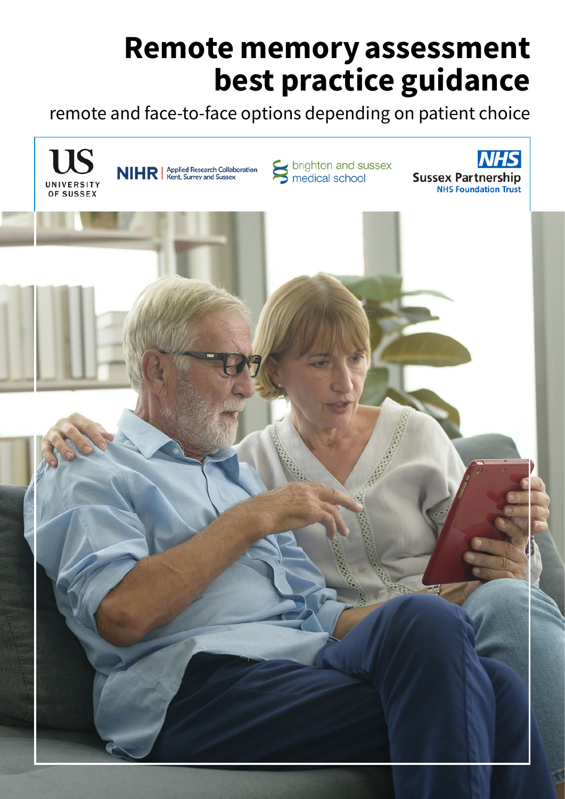# Remote memory assessment best practice guidance

remote and face-to-face options depending on patient choice

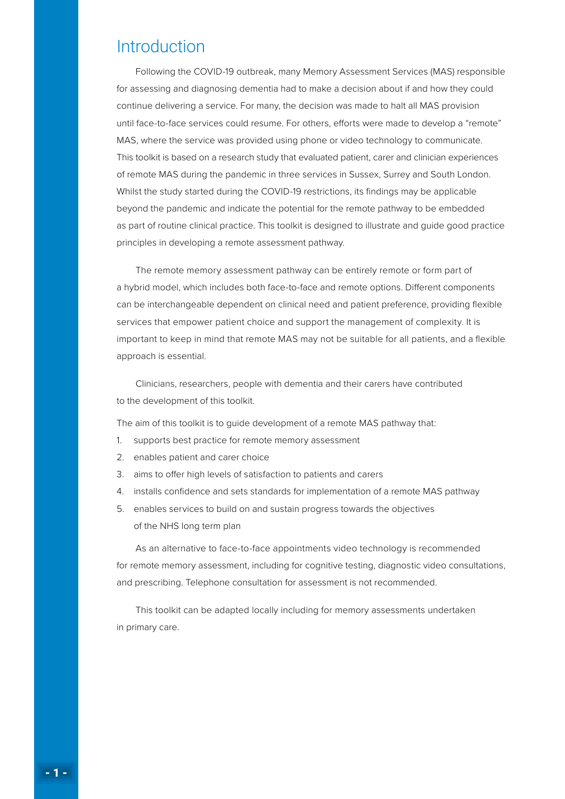### **Introduction**

Following the COVID-19 outbreak, many Memory Assessment Services (MAS) responsible for assessing and diagnosing dementia had to make a decision about if and how they could continue delivering a service. For many, the decision was made to halt all MAS provision until face-to-face services could resume. For others, efforts were made to develop a "remote" MAS, where the service was provided using phone or video technology to communicate. This toolkit is based on a research study that evaluated patient, carer and clinician experiences of remote MAS during the pandemic in three services in Sussex, Surrey and South London. Whilst the study started during the COVID-19 restrictions, its findings may be applicable beyond the pandemic and indicate the potential for the remote pathway to be embedded as part of routine clinical practice. This toolkit is designed to illustrate and guide good practice principles in developing a remote assessment pathway.

The remote memory assessment pathway can be entirely remote or form part of a hybrid model, which includes both face-to-face and remote options. Different components can be interchangeable dependent on clinical need and patient preference, providing flexible services that empower patient choice and support the management of complexity. It is important to keep in mind that remote MAS may not be suitable for all patients, and a flexible approach is essential.

Clinicians, researchers, people with dementia and their carers have contributed to the development of this toolkit.

The aim of this toolkit is to quide development of a remote MAS pathway that:

- 1. supports best practice for remote memory assessment
- 2. enables patient and carer choice
- 3. aims to offer high levels of satisfaction to patients and carers
- 4. installs confidence and sets standards for implementation of a remote MAS pathway
- 5. enables services to build on and sustain progress towards the objectives of the NHS long term plan

As an alternative to face-to-face appointments video technology is recommended for remote memory assessment, including for cognitive testing, diagnostic video consultations, and prescribing. Telephone consultation for assessment is not recommended.

This toolkit can be adapted locally including for memory assessments undertaken in primary care.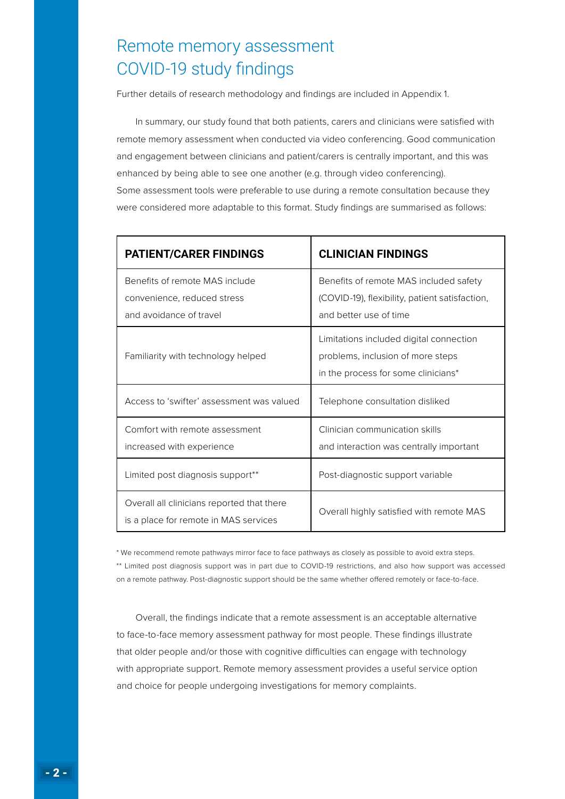# Remote memory assessment COVID-19 study findings

Further details of research methodology and findings are included in Appendix 1.

In summary, our study found that both patients, carers and clinicians were satisfied with remote memory assessment when conducted via video conferencing. Good communication and engagement between clinicians and patient/carers is centrally important, and this was enhanced by being able to see one another (e.g. through video conferencing). Some assessment tools were preferable to use during a remote consultation because they were considered more adaptable to this format. Study findings are summarised as follows:

| <b>PATIENT/CARER FINDINGS</b>                                                            | <b>CLINICIAN FINDINGS</b>                                                                                           |
|------------------------------------------------------------------------------------------|---------------------------------------------------------------------------------------------------------------------|
| Benefits of remote MAS include<br>convenience, reduced stress<br>and avoidance of travel | Benefits of remote MAS included safety<br>(COVID-19), flexibility, patient satisfaction,<br>and better use of time  |
| Familiarity with technology helped                                                       | Limitations included digital connection<br>problems, inclusion of more steps<br>in the process for some clinicians* |
| Access to 'swifter' assessment was valued                                                | Telephone consultation disliked                                                                                     |
| Comfort with remote assessment<br>increased with experience                              | Clinician communication skills<br>and interaction was centrally important                                           |
| Limited post diagnosis support**                                                         | Post-diagnostic support variable                                                                                    |
| Overall all clinicians reported that there<br>is a place for remote in MAS services      | Overall highly satisfied with remote MAS                                                                            |

\* We recommend remote pathways mirror face to face pathways as closely as possible to avoid extra steps. \*\* Limited post diagnosis support was in part due to COVID-19 restrictions, and also how support was accessed on a remote pathway. Post-diagnostic support should be the same whether offered remotely or face-to-face.

Overall, the findings indicate that a remote assessment is an acceptable alternative to face-to-face memory assessment pathway for most people. These findings illustrate that older people and/or those with cognitive difficulties can engage with technology with appropriate support. Remote memory assessment provides a useful service option and choice for people undergoing investigations for memory complaints.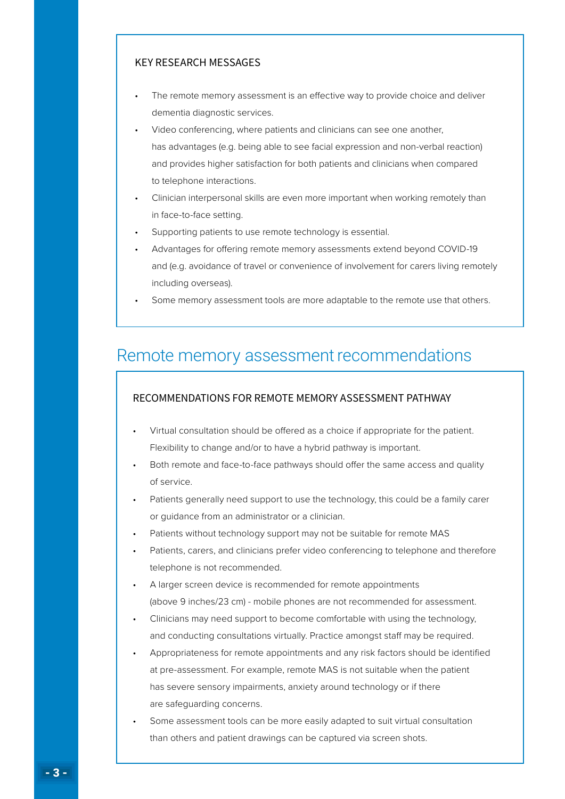#### KEY RESEARCH MESSAGES

- The remote memory assessment is an effective way to provide choice and deliver dementia diagnostic services.
- Video conferencing, where patients and clinicians can see one another, has advantages (e.g. being able to see facial expression and non-verbal reaction) and provides higher satisfaction for both patients and clinicians when compared to telephone interactions.
- Clinician interpersonal skills are even more important when working remotely than in face-to-face setting.
- Supporting patients to use remote technology is essential.
- Advantages for offering remote memory assessments extend beyond COVID-19 and (e.g. avoidance of travel or convenience of involvement for carers living remotely including overseas).
- Some memory assessment tools are more adaptable to the remote use that others.

### Remote memory assessment recommendations

#### RECOMMENDATIONS FOR REMOTE MEMORY ASSESSMENT PATHWAY

- Virtual consultation should be offered as a choice if appropriate for the patient. Flexibility to change and/or to have a hybrid pathway is important.
- Both remote and face-to-face pathways should offer the same access and quality of service.
- Patients generally need support to use the technology, this could be a family carer or guidance from an administrator or a clinician.
- Patients without technology support may not be suitable for remote MAS
- Patients, carers, and clinicians prefer video conferencing to telephone and therefore telephone is not recommended.
- A larger screen device is recommended for remote appointments (above 9 inches/23 cm) - mobile phones are not recommended for assessment.
- Clinicians may need support to become comfortable with using the technology, and conducting consultations virtually. Practice amongst staff may be required.
- Appropriateness for remote appointments and any risk factors should be identified at pre-assessment. For example, remote MAS is not suitable when the patient has severe sensory impairments, anxiety around technology or if there are safeguarding concerns.
- Some assessment tools can be more easily adapted to suit virtual consultation than others and patient drawings can be captured via screen shots.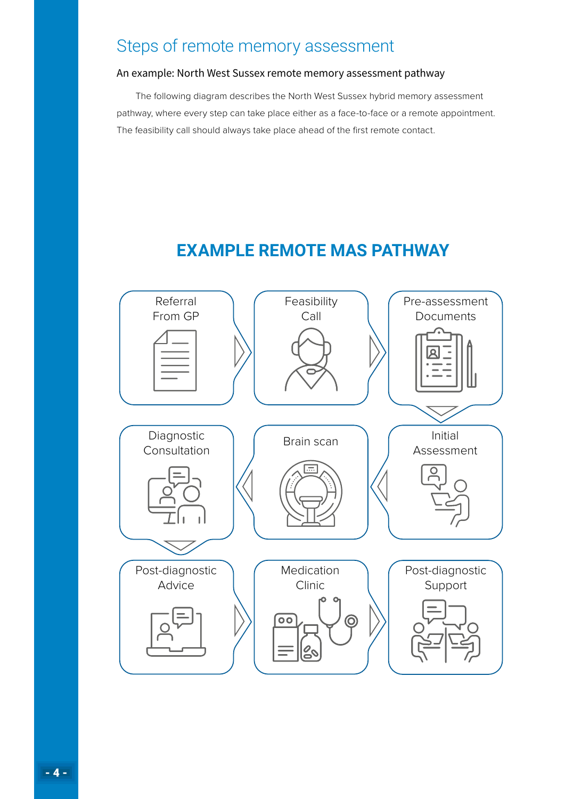# Steps of remote memory assessment

#### An example: North West Sussex remote memory assessment pathway

The following diagram describes the North West Sussex hybrid memory assessment pathway, where every step can take place either as a face-to-face or a remote appointment. The feasibility call should always take place ahead of the first remote contact.

# **EXAMPLE REMOTE MAS PATHWAY**

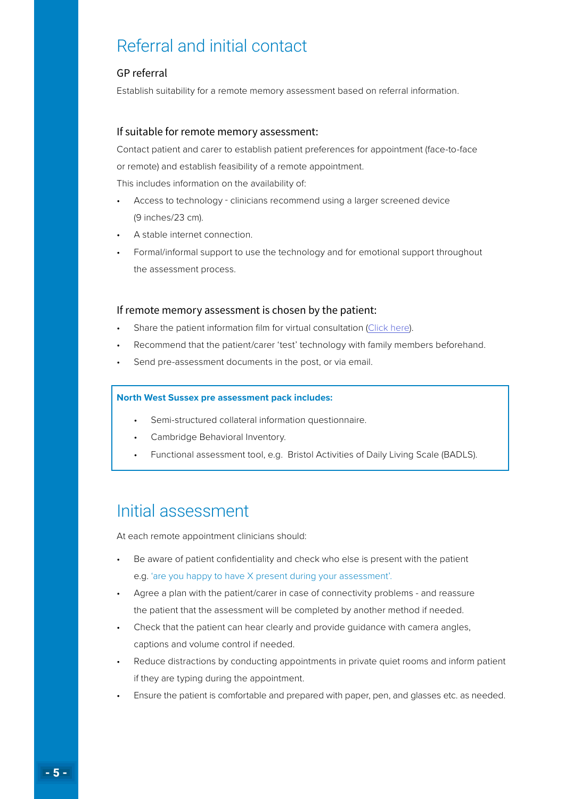# Referral and initial contact

#### GP referral

Establish suitability for a remote memory assessment based on referral information.

#### If suitable for remote memory assessment:

Contact patient and carer to establish patient preferences for appointment (face-to-face or remote) and establish feasibility of a remote appointment.

This includes information on the availability of:

- Access to technology clinicians recommend using a larger screened device (9 inches/23 cm).
- A stable internet connection.
- Formal/informal support to use the technology and for emotional support throughout the assessment process.

#### If remote memory assessment is chosen by the patient:

- Share the patient information film for virtual consultation ([Click here](http://bit.ly/RMAS-video)).
- Recommend that the patient/carer 'test' technology with family members beforehand.
- Send pre-assessment documents in the post, or via email.

#### **North West Sussex pre assessment pack includes:**

- Semi-structured collateral information questionnaire.
- Cambridge Behavioral Inventory.
- Functional assessment tool, e.g. Bristol Activities of Daily Living Scale (BADLS).

### Initial assessment

At each remote appointment clinicians should:

- Be aware of patient confidentiality and check who else is present with the patient e.g. 'are you happy to have X present during your assessment'.
- Agree a plan with the patient/carer in case of connectivity problems and reassure the patient that the assessment will be completed by another method if needed.
- Check that the patient can hear clearly and provide guidance with camera angles, captions and volume control if needed.
- Reduce distractions by conducting appointments in private quiet rooms and inform patient if they are typing during the appointment.
- Ensure the patient is comfortable and prepared with paper, pen, and glasses etc. as needed.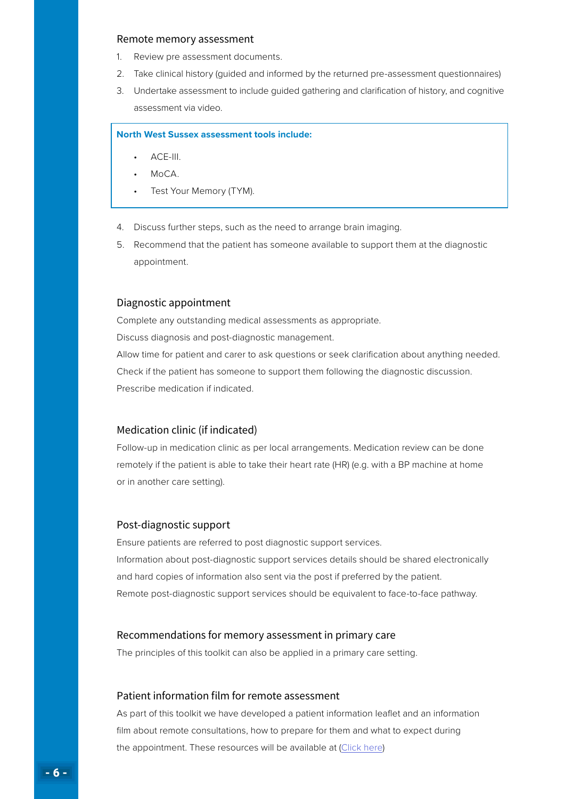#### Remote memory assessment

- 1. Review pre assessment documents.
- 2. Take clinical history (guided and informed by the returned pre-assessment questionnaires)
- 3. Undertake assessment to include guided gathering and clarification of history, and cognitive assessment via video.

#### **North West Sussex assessment tools include:**

- ACE-III.
- $M_0CA$
- Test Your Memory (TYM).
- 4. Discuss further steps, such as the need to arrange brain imaging.
- 5. Recommend that the patient has someone available to support them at the diagnostic appointment.

#### Diagnostic appointment

Complete any outstanding medical assessments as appropriate. Discuss diagnosis and post-diagnostic management. Allow time for patient and carer to ask questions or seek clarification about anything needed. Check if the patient has someone to support them following the diagnostic discussion. Prescribe medication if indicated.

#### Medication clinic (if indicated)

Follow-up in medication clinic as per local arrangements. Medication review can be done remotely if the patient is able to take their heart rate (HR) (e.g. with a BP machine at home or in another care setting).

#### Post-diagnostic support

Ensure patients are referred to post diagnostic support services. Information about post-diagnostic support services details should be shared electronically and hard copies of information also sent via the post if preferred by the patient. Remote post-diagnostic support services should be equivalent to face-to-face pathway.

#### Recommendations for memory assessment in primary care

The principles of this toolkit can also be applied in a primary care setting.

#### Patient information film for remote assessment

As part of this toolkit we have developed a patient information leaflet and an information film about remote consultations, how to prepare for them and what to expect during the appointment. These resources will be available at ([Click here](http://bit.ly/RMAS-video))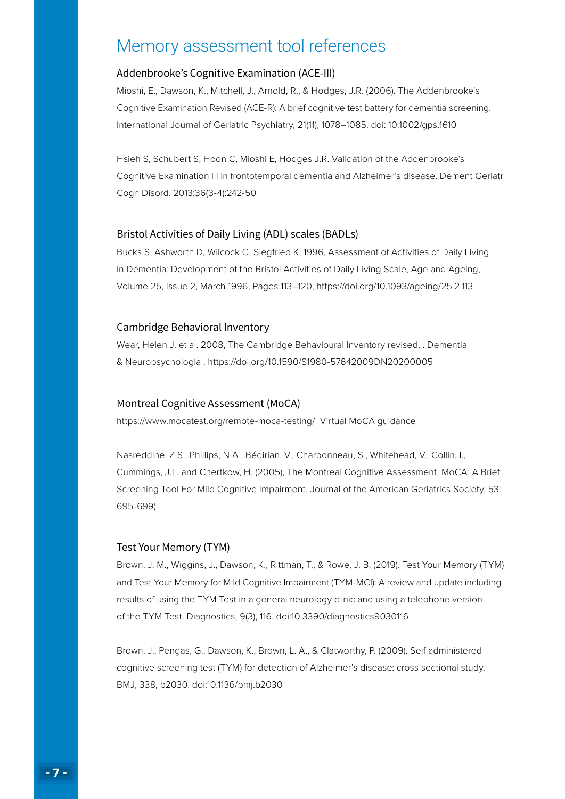# Memory assessment tool references

#### Addenbrooke's Cognitive Examination (ACE-III)

Mioshi, E., Dawson, K., Mitchell, J., Arnold, R., & Hodges, J.R. (2006). The Addenbrooke's Cognitive Examination Revised (ACE-R): A brief cognitive test battery for dementia screening. International Journal of Geriatric Psychiatry, 21(11), 1078–1085. doi: 10.1002/gps.1610

Hsieh S, Schubert S, Hoon C, Mioshi E, Hodges J.R. Validation of the Addenbrooke's Cognitive Examination III in frontotemporal dementia and Alzheimer's disease. Dement Geriatr Cogn Disord. 2013;36(3-4):242-50

#### Bristol Activities of Daily Living (ADL) scales (BADLs)

Bucks S, Ashworth D, Wilcock G, Siegfried K, 1996, Assessment of Activities of Daily Living in Dementia: Development of the Bristol Activities of Daily Living Scale, Age and Ageing, Volume 25, Issue 2, March 1996, Pages 113–120, https://doi.org/10.1093/ageing/25.2.113

#### Cambridge Behavioral Inventory

Wear, Helen J. et al. 2008, The Cambridge Behavioural Inventory revised, . Dementia & Neuropsychologia , https://doi.org/10.1590/S1980-57642009DN20200005

#### Montreal Cognitive Assessment (MoCA)

https://www.mocatest.org/remote-moca-testing/ Virtual MoCA guidance

Nasreddine, Z.S., Phillips, N.A., Bédirian, V., Charbonneau, S., Whitehead, V., Collin, I., Cummings, J.L. and Chertkow, H. (2005), The Montreal Cognitive Assessment, MoCA: A Brief Screening Tool For Mild Cognitive Impairment. Journal of the American Geriatrics Society, 53: 695-699)

#### Test Your Memory (TYM)

Brown, J. M., Wiggins, J., Dawson, K., Rittman, T., & Rowe, J. B. (2019). Test Your Memory (TYM) and Test Your Memory for Mild Cognitive Impairment (TYM-MCI): A review and update including results of using the TYM Test in a general neurology clinic and using a telephone version of the TYM Test. Diagnostics, 9(3), 116. doi:10.3390/diagnostics9030116

Brown, J., Pengas, G., Dawson, K., Brown, L. A., & Clatworthy, P. (2009). Self administered cognitive screening test (TYM) for detection of Alzheimer's disease: cross sectional study. BMJ, 338, b2030. doi:10.1136/bmj.b2030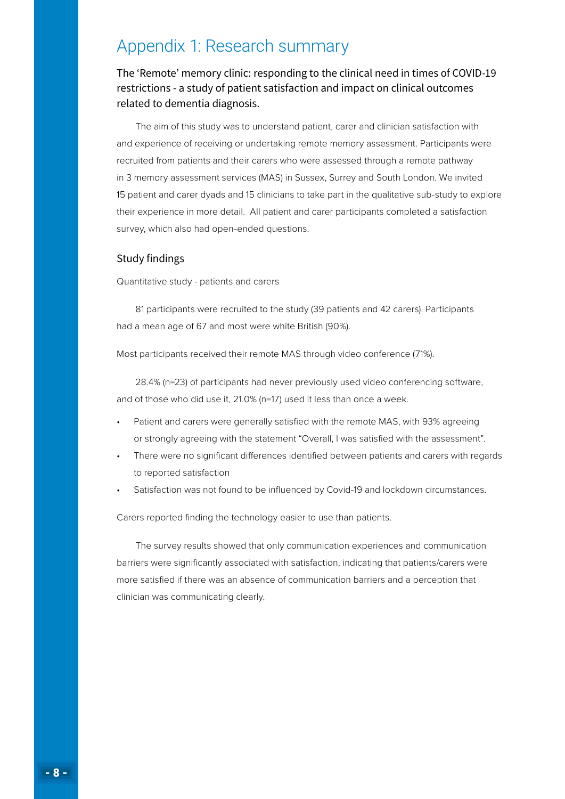# Appendix 1: Research summary

The 'Remote' memory clinic: responding to the clinical need in times of COVID-19 restrictions - a study of patient satisfaction and impact on clinical outcomes related to dementia diagnosis.

The aim of this study was to understand patient, carer and clinician satisfaction with and experience of receiving or undertaking remote memory assessment. Participants were recruited from patients and their carers who were assessed through a remote pathway in 3 memory assessment services (MAS) in Sussex, Surrey and South London. We invited 15 patient and carer dyads and 15 clinicians to take part in the qualitative sub-study to explore their experience in more detail. All patient and carer participants completed a satisfaction survey, which also had open-ended questions.

#### Study findings

Quantitative study - patients and carers

81 participants were recruited to the study (39 patients and 42 carers). Participants had a mean age of 67 and most were white British (90%).

Most participants received their remote MAS through video conference (71%).

28.4% (n=23) of participants had never previously used video conferencing software, and of those who did use it, 21.0% (n=17) used it less than once a week.

- Patient and carers were generally satisfied with the remote MAS, with 93% agreeing or strongly agreeing with the statement "Overall, I was satisfied with the assessment".
- There were no significant differences identified between patients and carers with regards to reported satisfaction
- Satisfaction was not found to be influenced by Covid-19 and lockdown circumstances.

Carers reported finding the technology easier to use than patients.

The survey results showed that only communication experiences and communication barriers were significantly associated with satisfaction, indicating that patients/carers were more satisfied if there was an absence of communication barriers and a perception that clinician was communicating clearly.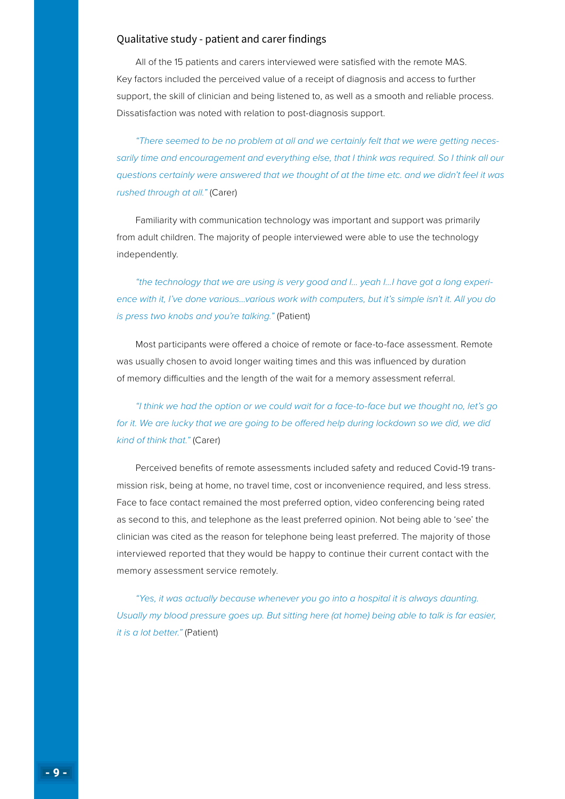#### Qualitative study - patient and carer findings

All of the 15 patients and carers interviewed were satisfied with the remote MAS. Key factors included the perceived value of a receipt of diagnosis and access to further support, the skill of clinician and being listened to, as well as a smooth and reliable process. Dissatisfaction was noted with relation to post-diagnosis support.

*"There seemed to be no problem at all and we certainly felt that we were getting necessarily time and encouragement and everything else, that I think was required. So I think all our questions certainly were answered that we thought of at the time etc. and we didn't feel it was rushed through at all."* (Carer)

Familiarity with communication technology was important and support was primarily from adult children. The majority of people interviewed were able to use the technology independently.

*"the technology that we are using is very good and I… yeah I…I have got a long experience with it, I've done various…various work with computers, but it's simple isn't it. All you do is press two knobs and you're talking."* (Patient)

Most participants were offered a choice of remote or face-to-face assessment. Remote was usually chosen to avoid longer waiting times and this was influenced by duration of memory difficulties and the length of the wait for a memory assessment referral.

*"I think we had the option or we could wait for a face-to-face but we thought no, let's go*  for it. We are lucky that we are going to be offered help during lockdown so we did, we did *kind of think that."* (Carer)

Perceived benefits of remote assessments included safety and reduced Covid-19 transmission risk, being at home, no travel time, cost or inconvenience required, and less stress. Face to face contact remained the most preferred option, video conferencing being rated as second to this, and telephone as the least preferred opinion. Not being able to 'see' the clinician was cited as the reason for telephone being least preferred. The majority of those interviewed reported that they would be happy to continue their current contact with the memory assessment service remotely.

*"Yes, it was actually because whenever you go into a hospital it is always daunting. Usually my blood pressure goes up. But sitting here (at home) being able to talk is far easier, it is a lot better."* (Patient)